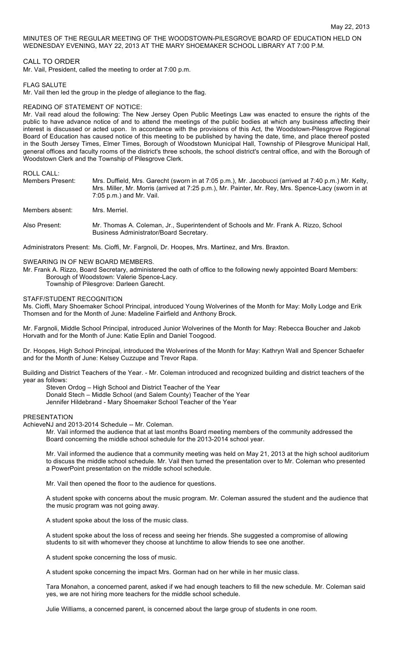MINUTES OF THE REGULAR MEETING OF THE WOODSTOWN-PILESGROVE BOARD OF EDUCATION HELD ON WEDNESDAY EVENING, MAY 22, 2013 AT THE MARY SHOEMAKER SCHOOL LIBRARY AT 7:00 P.M.

## CALL TO ORDER

Mr. Vail, President, called the meeting to order at 7:00 p.m.

FLAG SALUTE

Mr. Vail then led the group in the pledge of allegiance to the flag.

## READING OF STATEMENT OF NOTICE:

Mr. Vail read aloud the following: The New Jersey Open Public Meetings Law was enacted to ensure the rights of the public to have advance notice of and to attend the meetings of the public bodies at which any business affecting their interest is discussed or acted upon. In accordance with the provisions of this Act, the Woodstown-Pilesgrove Regional Board of Education has caused notice of this meeting to be published by having the date, time, and place thereof posted in the South Jersey Times, Elmer Times, Borough of Woodstown Municipal Hall, Township of Pilesgrove Municipal Hall, general offices and faculty rooms of the district's three schools, the school district's central office, and with the Borough of Woodstown Clerk and the Township of Pilesgrove Clerk.

ROLL CALL:

| Members Present: | Mrs. Duffield, Mrs. Garecht (sworn in at 7:05 p.m.), Mr. Jacobucci (arrived at 7:40 p.m.) Mr. Kelty,<br>Mrs. Miller, Mr. Morris (arrived at 7:25 p.m.), Mr. Painter, Mr. Rey, Mrs. Spence-Lacy (sworn in at<br>$7:05$ p.m.) and Mr. Vail. |  |  |
|------------------|-------------------------------------------------------------------------------------------------------------------------------------------------------------------------------------------------------------------------------------------|--|--|
| Members absent:  | Mrs. Merriel.                                                                                                                                                                                                                             |  |  |
| Also Present:    | Mr. Thomas A. Coleman, Jr., Superintendent of Schools and Mr. Frank A. Rizzo, School<br>Business Administrator/Board Secretary.                                                                                                           |  |  |

Administrators Present: Ms. Cioffi, Mr. Fargnoli, Dr. Hoopes, Mrs. Martinez, and Mrs. Braxton.

#### SWEARING IN OF NEW BOARD MEMBERS.

Mr. Frank A. Rizzo, Board Secretary, administered the oath of office to the following newly appointed Board Members: Borough of Woodstown: Valerie Spence-Lacy.

Township of Pilesgrove: Darleen Garecht.

#### STAFF/STUDENT RECOGNITION

Ms. Cioffi, Mary Shoemaker School Principal, introduced Young Wolverines of the Month for May: Molly Lodge and Erik Thomsen and for the Month of June: Madeline Fairfield and Anthony Brock.

Mr. Fargnoli, Middle School Principal, introduced Junior Wolverines of the Month for May: Rebecca Boucher and Jakob Horvath and for the Month of June: Katie Eplin and Daniel Toogood.

Dr. Hoopes, High School Principal, introduced the Wolverines of the Month for May: Kathryn Wall and Spencer Schaefer and for the Month of June: Kelsey Cuzzupe and Trevor Rapa.

Building and District Teachers of the Year. - Mr. Coleman introduced and recognized building and district teachers of the year as follows:

Steven Ordog – High School and District Teacher of the Year Donald Stech – Middle School (and Salem County) Teacher of the Year Jennifer Hildebrand - Mary Shoemaker School Teacher of the Year

### PRESENTATION

AchieveNJ and 2013-2014 Schedule -- Mr. Coleman.

Mr. Vail informed the audience that at last months Board meeting members of the community addressed the Board concerning the middle school schedule for the 2013-2014 school year.

Mr. Vail informed the audience that a community meeting was held on May 21, 2013 at the high school auditorium to discuss the middle school schedule. Mr. Vail then turned the presentation over to Mr. Coleman who presented a PowerPoint presentation on the middle school schedule.

Mr. Vail then opened the floor to the audience for questions.

A student spoke with concerns about the music program. Mr. Coleman assured the student and the audience that the music program was not going away.

A student spoke about the loss of the music class.

A student spoke about the loss of recess and seeing her friends. She suggested a compromise of allowing students to sit with whomever they choose at lunchtime to allow friends to see one another.

A student spoke concerning the loss of music.

A student spoke concerning the impact Mrs. Gorman had on her while in her music class.

Tara Monahon, a concerned parent, asked if we had enough teachers to fill the new schedule. Mr. Coleman said yes, we are not hiring more teachers for the middle school schedule.

Julie Williams, a concerned parent, is concerned about the large group of students in one room.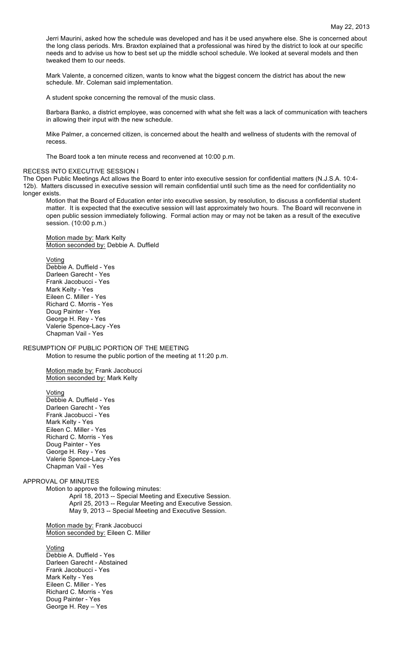Jerri Maurini, asked how the schedule was developed and has it be used anywhere else. She is concerned about the long class periods. Mrs. Braxton explained that a professional was hired by the district to look at our specific needs and to advise us how to best set up the middle school schedule. We looked at several models and then tweaked them to our needs.

Mark Valente, a concerned citizen, wants to know what the biggest concern the district has about the new schedule. Mr. Coleman said implementation.

A student spoke concerning the removal of the music class.

Barbara Banko, a district employee, was concerned with what she felt was a lack of communication with teachers in allowing their input with the new schedule.

Mike Palmer, a concerned citizen, is concerned about the health and wellness of students with the removal of recess.

The Board took a ten minute recess and reconvened at 10:00 p.m.

## RECESS INTO EXECUTIVE SESSION I

The Open Public Meetings Act allows the Board to enter into executive session for confidential matters (N.J.S.A. 10:4- 12b). Matters discussed in executive session will remain confidential until such time as the need for confidentiality no longer exists.

Motion that the Board of Education enter into executive session, by resolution, to discuss a confidential student matter. It is expected that the executive session will last approximately two hours. The Board will reconvene in open public session immediately following. Formal action may or may not be taken as a result of the executive session. (10:00 p.m.)

Motion made by: Mark Kelty Motion seconded by: Debbie A. Duffield

#### Voting

Debbie A. Duffield - Yes Darleen Garecht - Yes Frank Jacobucci - Yes Mark Kelty - Yes Eileen C. Miller - Yes Richard C. Morris - Yes Doug Painter - Yes George H. Rey - Yes Valerie Spence-Lacy -Yes Chapman Vail - Yes

RESUMPTION OF PUBLIC PORTION OF THE MEETING Motion to resume the public portion of the meeting at 11:20 p.m.

> Motion made by: Frank Jacobucci Motion seconded by: Mark Kelty

Voting

Debbie A. Duffield - Yes Darleen Garecht - Yes Frank Jacobucci - Yes Mark Kelty - Yes Eileen C. Miller - Yes Richard C. Morris - Yes Doug Painter - Yes George H. Rey - Yes Valerie Spence-Lacy -Yes Chapman Vail - Yes

### APPROVAL OF MINUTES

Motion to approve the following minutes: April 18, 2013 -- Special Meeting and Executive Session. April 25, 2013 -- Regular Meeting and Executive Session. May 9, 2013 -- Special Meeting and Executive Session.

Motion made by: Frank Jacobucci Motion seconded by: Eileen C. Miller

Voting

Debbie A. Duffield - Yes Darleen Garecht - Abstained Frank Jacobucci - Yes Mark Kelty - Yes Eileen C. Miller - Yes Richard C. Morris - Yes Doug Painter - Yes George H. Rey – Yes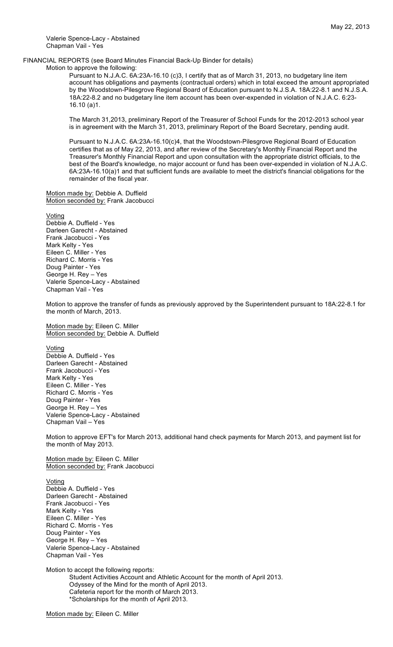Valerie Spence-Lacy - Abstained Chapman Vail - Yes

## FINANCIAL REPORTS (see Board Minutes Financial Back-Up Binder for details)

Motion to approve the following:

Pursuant to N.J.A.C. 6A:23A-16.10 (c)3, I certify that as of March 31, 2013, no budgetary line item account has obligations and payments (contractual orders) which in total exceed the amount appropriated by the Woodstown-Pilesgrove Regional Board of Education pursuant to N.J.S.A. 18A:22-8.1 and N.J.S.A. 18A:22-8.2 and no budgetary line item account has been over-expended in violation of N.J.A.C. 6:23- 16.10 (a)1.

The March 31,2013, preliminary Report of the Treasurer of School Funds for the 2012-2013 school year is in agreement with the March 31, 2013, preliminary Report of the Board Secretary, pending audit.

Pursuant to N.J.A.C. 6A:23A-16.10(c)4, that the Woodstown-Pilesgrove Regional Board of Education certifies that as of May 22, 2013, and after review of the Secretary's Monthly Financial Report and the Treasurer's Monthly Financial Report and upon consultation with the appropriate district officials, to the best of the Board's knowledge, no major account or fund has been over-expended in violation of N.J.A.C. 6A:23A-16.10(a)1 and that sufficient funds are available to meet the district's financial obligations for the remainder of the fiscal year.

Motion made by: Debbie A. Duffield Motion seconded by: Frank Jacobucci

#### Voting

Debbie A. Duffield - Yes Darleen Garecht - Abstained Frank Jacobucci - Yes Mark Kelty - Yes Eileen C. Miller - Yes Richard C. Morris - Yes Doug Painter - Yes George H. Rey – Yes Valerie Spence-Lacy - Abstained Chapman Vail - Yes

Motion to approve the transfer of funds as previously approved by the Superintendent pursuant to 18A:22-8.1 for the month of March, 2013.

Motion made by: Eileen C. Miller Motion seconded by: Debbie A. Duffield

Voting

Debbie A. Duffield - Yes Darleen Garecht - Abstained Frank Jacobucci - Yes Mark Kelty - Yes Eileen C. Miller - Yes Richard C. Morris - Yes Doug Painter - Yes George H. Rey – Yes Valerie Spence-Lacy - Abstained Chapman Vail – Yes

Motion to approve EFT's for March 2013, additional hand check payments for March 2013, and payment list for the month of May 2013.

Motion made by: Eileen C. Miller Motion seconded by: Frank Jacobucci

Voting Debbie A. Duffield - Yes

Darleen Garecht - Abstained Frank Jacobucci - Yes Mark Kelty - Yes Eileen C. Miller - Yes Richard C. Morris - Yes Doug Painter - Yes George H. Rey – Yes Valerie Spence-Lacy - Abstained Chapman Vail - Yes

Motion to accept the following reports: Student Activities Account and Athletic Account for the month of April 2013. Odyssey of the Mind for the month of April 2013. Cafeteria report for the month of March 2013. \*Scholarships for the month of April 2013.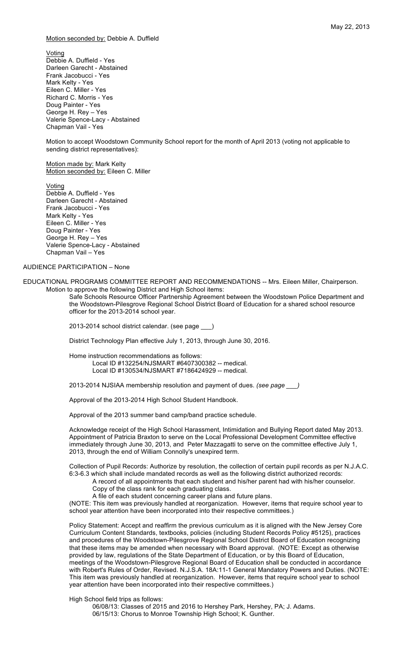### Motion seconded by: Debbie A. Duffield

Voting Debbie A. Duffield - Yes Darleen Garecht - Abstained Frank Jacobucci - Yes Mark Kelty - Yes Eileen C. Miller - Yes Richard C. Morris - Yes Doug Painter - Yes George H. Rey – Yes Valerie Spence-Lacy - Abstained Chapman Vail - Yes

Motion to accept Woodstown Community School report for the month of April 2013 (voting not applicable to sending district representatives):

Motion made by: Mark Kelty Motion seconded by: Eileen C. Miller

Voting Debbie A. Duffield - Yes Darleen Garecht - Abstained Frank Jacobucci - Yes Mark Kelty - Yes Eileen C. Miller - Yes Doug Painter - Yes George H. Rey – Yes Valerie Spence-Lacy - Abstained Chapman Vail – Yes

# AUDIENCE PARTICIPATION – None

EDUCATIONAL PROGRAMS COMMITTEE REPORT AND RECOMMENDATIONS -- Mrs. Eileen Miller, Chairperson. Motion to approve the following District and High School items:

> Safe Schools Resource Officer Partnership Agreement between the Woodstown Police Department and the Woodstown-Pilesgrove Regional School District Board of Education for a shared school resource officer for the 2013-2014 school year.

2013-2014 school district calendar. (see page \_\_\_)

District Technology Plan effective July 1, 2013, through June 30, 2016.

Home instruction recommendations as follows: Local ID #132254/NJSMART #6407300382 -- medical. Local ID #130534/NJSMART #7186424929 -- medical.

2013-2014 NJSIAA membership resolution and payment of dues. *(see page \_\_\_)*

Approval of the 2013-2014 High School Student Handbook.

Approval of the 2013 summer band camp/band practice schedule.

Acknowledge receipt of the High School Harassment, Intimidation and Bullying Report dated May 2013. Appointment of Patricia Braxton to serve on the Local Professional Development Committee effective immediately through June 30, 2013, and Peter Mazzagatti to serve on the committee effective July 1, 2013, through the end of William Connolly's unexpired term.

Collection of Pupil Records: Authorize by resolution, the collection of certain pupil records as per N.J.A.C. 6:3-6.3 which shall include mandated records as well as the following district authorized records:

A record of all appointments that each student and his/her parent had with his/her counselor.

Copy of the class rank for each graduating class. A file of each student concerning career plans and future plans.

(NOTE: This item was previously handled at reorganization. However, items that require school year to school year attention have been incorporated into their respective committees.)

Policy Statement: Accept and reaffirm the previous curriculum as it is aligned with the New Jersey Core Curriculum Content Standards, textbooks, policies (including Student Records Policy #5125), practices and procedures of the Woodstown-Pilesgrove Regional School District Board of Education recognizing that these items may be amended when necessary with Board approval. (NOTE: Except as otherwise provided by law, regulations of the State Department of Education, or by this Board of Education, meetings of the Woodstown-Pilesgrove Regional Board of Education shall be conducted in accordance with Robert's Rules of Order, Revised. N.J.S.A. 18A:11-1 General Mandatory Powers and Duties. (NOTE: This item was previously handled at reorganization. However, items that require school year to school year attention have been incorporated into their respective committees.)

High School field trips as follows:

06/08/13: Classes of 2015 and 2016 to Hershey Park, Hershey, PA; J. Adams. 06/15/13: Chorus to Monroe Township High School; K. Gunther.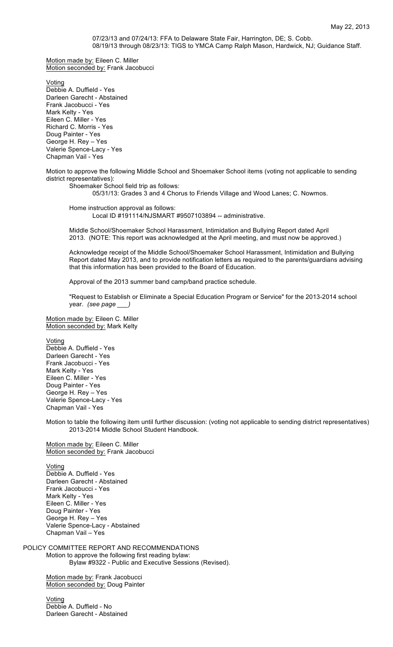# 07/23/13 and 07/24/13: FFA to Delaware State Fair, Harrington, DE; S. Cobb. 08/19/13 through 08/23/13: TIGS to YMCA Camp Ralph Mason, Hardwick, NJ; Guidance Staff.

Motion made by: Eileen C. Miller Motion seconded by: Frank Jacobucci

Voting Debbie A. Duffield - Yes Darleen Garecht - Abstained Frank Jacobucci - Yes Mark Kelty - Yes Eileen C. Miller - Yes Richard C. Morris - Yes Doug Painter - Yes George H. Rey – Yes Valerie Spence-Lacy - Yes Chapman Vail - Yes

Motion to approve the following Middle School and Shoemaker School items (voting not applicable to sending district representatives):

Shoemaker School field trip as follows:

05/31/13: Grades 3 and 4 Chorus to Friends Village and Wood Lanes; C. Nowmos.

Home instruction approval as follows: Local ID #191114/NJSMART #9507103894 -- administrative.

Middle School/Shoemaker School Harassment, Intimidation and Bullying Report dated April 2013. (NOTE: This report was acknowledged at the April meeting, and must now be approved.)

Acknowledge receipt of the Middle School/Shoemaker School Harassment, Intimidation and Bullying Report dated May 2013, and to provide notification letters as required to the parents/guardians advising that this information has been provided to the Board of Education.

Approval of the 2013 summer band camp/band practice schedule.

"Request to Establish or Eliminate a Special Education Program or Service" for the 2013-2014 school year. *(see page \_\_\_)*

Motion made by: Eileen C. Miller Motion seconded by: Mark Kelty

Voting Debbie A. Duffield - Yes Darleen Garecht - Yes Frank Jacobucci - Yes Mark Kelty - Yes Eileen C. Miller - Yes Doug Painter - Yes George H. Rey – Yes Valerie Spence-Lacy - Yes Chapman Vail - Yes

Motion to table the following item until further discussion: (voting not applicable to sending district representatives) 2013-2014 Middle School Student Handbook.

Motion made by: Eileen C. Miller Motion seconded by: Frank Jacobucci

Voting Debbie A. Duffield - Yes Darleen Garecht - Abstained Frank Jacobucci - Yes Mark Kelty - Yes Eileen C. Miller - Yes Doug Painter - Yes George H. Rey – Yes Valerie Spence-Lacy - Abstained Chapman Vail – Yes

POLICY COMMITTEE REPORT AND RECOMMENDATIONS Motion to approve the following first reading bylaw: Bylaw #9322 - Public and Executive Sessions (Revised).

> Motion made by: Frank Jacobucci Motion seconded by: Doug Painter

Voting Debbie A. Duffield - No Darleen Garecht - Abstained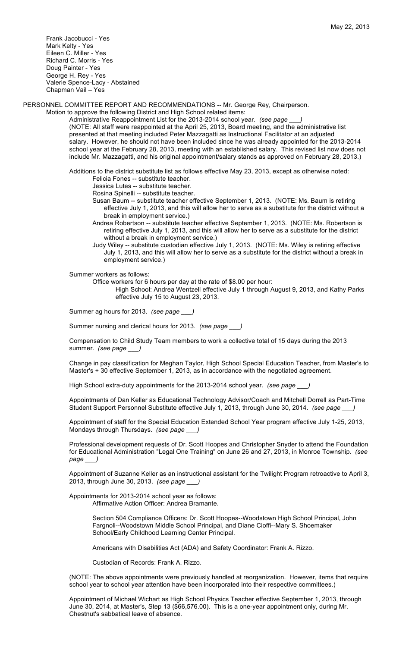Frank Jacobucci - Yes Mark Kelty - Yes Eileen C. Miller - Yes Richard C. Morris - Yes Doug Painter - Yes George H. Rey - Yes Valerie Spence-Lacy - Abstained Chapman Vail – Yes

PERSONNEL COMMITTEE REPORT AND RECOMMENDATIONS -- Mr. George Rey, Chairperson.

Motion to approve the following District and High School related items:

Administrative Reappointment List for the 2013-2014 school year. *(see page* (NOTE: All staff were reappointed at the April 25, 2013, Board meeting, and the administrative list presented at that meeting included Peter Mazzagatti as Instructional Facilitator at an adjusted salary. However, he should not have been included since he was already appointed for the 2013-2014 school year at the February 28, 2013, meeting with an established salary. This revised list now does not include Mr. Mazzagatti, and his original appointment/salary stands as approved on February 28, 2013.)

Additions to the district substitute list as follows effective May 23, 2013, except as otherwise noted: Felicia Fones -- substitute teacher.

Jessica Lutes -- substitute teacher.

Rosina Spinelli -- substitute teacher.

- Susan Baum -- substitute teacher effective September 1, 2013. (NOTE: Ms. Baum is retiring effective July 1, 2013, and this will allow her to serve as a substitute for the district without a break in employment service.)
- Andrea Robertson -- substitute teacher effective September 1, 2013. (NOTE: Ms. Robertson is retiring effective July 1, 2013, and this will allow her to serve as a substitute for the district without a break in employment service.)
- Judy Wiley -- substitute custodian effective July 1, 2013. (NOTE: Ms. Wiley is retiring effective July 1, 2013, and this will allow her to serve as a substitute for the district without a break in employment service.)

Summer workers as follows:

Office workers for 6 hours per day at the rate of \$8.00 per hour:

High School: Andrea Wentzell effective July 1 through August 9, 2013, and Kathy Parks effective July 15 to August 23, 2013.

Summer ag hours for 2013. *(see page \_\_\_)*

Summer nursing and clerical hours for 2013. *(see page \_\_\_)*

Compensation to Child Study Team members to work a collective total of 15 days during the 2013 summer. *(see page \_\_\_)*

Change in pay classification for Meghan Taylor, High School Special Education Teacher, from Master's to Master's + 30 effective September 1, 2013, as in accordance with the negotiated agreement.

High School extra-duty appointments for the 2013-2014 school year. *(see page \_\_\_)*

Appointments of Dan Keller as Educational Technology Advisor/Coach and Mitchell Dorrell as Part-Time Student Support Personnel Substitute effective July 1, 2013, through June 30, 2014. *(see page \_\_\_)*

Appointment of staff for the Special Education Extended School Year program effective July 1-25, 2013, Mondays through Thursdays. *(see page \_\_\_)*

Professional development requests of Dr. Scott Hoopes and Christopher Snyder to attend the Foundation for Educational Administration "Legal One Training" on June 26 and 27, 2013, in Monroe Township. *(see page \_\_\_)*

Appointment of Suzanne Keller as an instructional assistant for the Twilight Program retroactive to April 3, 2013, through June 30, 2013. *(see page \_\_\_)*

Appointments for 2013-2014 school year as follows: Affirmative Action Officer: Andrea Bramante.

> Section 504 Compliance Officers: Dr. Scott Hoopes--Woodstown High School Principal, John Fargnoli--Woodstown Middle School Principal, and Diane Cioffi--Mary S. Shoemaker School/Early Childhood Learning Center Principal.

Americans with Disabilities Act (ADA) and Safety Coordinator: Frank A. Rizzo.

Custodian of Records: Frank A. Rizzo.

(NOTE: The above appointments were previously handled at reorganization. However, items that require school year to school year attention have been incorporated into their respective committees.)

Appointment of Michael Wichart as High School Physics Teacher effective September 1, 2013, through June 30, 2014, at Master's, Step 13 (\$66,576.00). This is a one-year appointment only, during Mr. Chestnut's sabbatical leave of absence.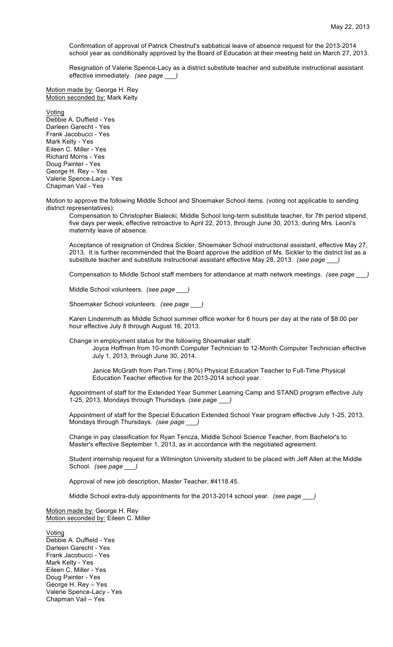Confirmation of approval of Patrick Chestnut's sabbatical leave of absence request for the 2013-2014 school year as conditionally approved by the Board of Education at their meeting held on March 27, 2013.

Resignation of Valerie Spence-Lacy as a district substitute teacher and substitute instructional assistant effective immediately. *(see page \_\_\_)*

Motion made by: George H. Rey Motion seconded by: Mark Kelty

Voting Debbie A. Duffield - Yes Darleen Garecht - Yes Frank Jacobucci - Yes Mark Kelty - Yes Eileen C. Miller - Yes Richard Morris - Yes Doug Painter - Yes George H. Rey – Yes Valerie Spence-Lacy - Yes Chapman Vail - Yes

Motion to approve the following Middle School and Shoemaker School items. (voting not applicable to sending district representatives):

Compensation to Christopher Bialecki, Middle School long-term substitute teacher, for 7th period stipend, five days per week, effective retroactive to April 22, 2013, through June 30, 2013, during Mrs. Leoni's maternity leave of absence.

Acceptance of resignation of Ondrea Sickler, Shoemaker School instructional assistant, effective May 27, 2013. It is further recommended that the Board approve the addition of Ms. Sickler to the district list as a substitute teacher and substitute instructional assistant effective May 28, 2013. *(see page \_\_\_)*

Compensation to Middle School staff members for attendance at math network meetings. *(see page \_\_\_)*

Middle School volunteers. *(see page \_\_\_)*

Shoemaker School volunteers. *(see page \_\_\_)*

Karen Lindenmuth as Middle School summer office worker for 6 hours per day at the rate of \$8.00 per hour effective July 8 through August 16, 2013.

Change in employment status for the following Shoemaker staff:

Joyce Hoffman from 10-month Computer Technician to 12-Month Computer Technician effective July 1, 2013, through June 30, 2014.

Janice McGrath from Part-Time (.80%) Physical Education Teacher to Full-Time Physical Education Teacher effective for the 2013-2014 school year.

Appointment of staff for the Extended Year Summer Learning Camp and STAND program effective July 1-25, 2013, Mondays through Thursdays. *(see page \_\_\_)*

Appointment of staff for the Special Education Extended School Year program effective July 1-25, 2013, Mondays through Thursdays. *(see page \_\_\_)*

Change in pay classification for Ryan Tencza, Middle School Science Teacher, from Bachelor's to Master's effective September 1, 2013, as in accordance with the negotiated agreement.

Student internship request for a Wilmington University student to be placed with Jeff Allen at the Middle School. *(see page \_\_\_)*

Approval of new job description, Master Teacher, #4118.45.

Middle School extra-duty appointments for the 2013-2014 school year. *(see page \_\_\_)*

Motion made by: George H. Rey Motion seconded by: Eileen C. Miller

Voting Debbie A. Duffield - Yes Darleen Garecht - Yes Frank Jacobucci - Yes Mark Kelty - Yes Eileen C. Miller - Yes Doug Painter - Yes George H. Rey – Yes Valerie Spence-Lacy - Yes Chapman Vail – Yes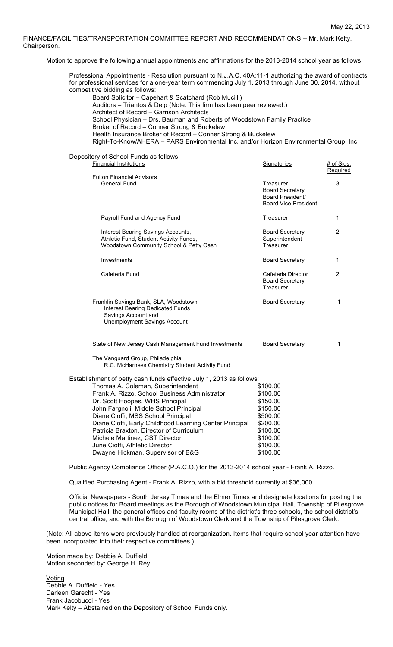FINANCE/FACILITIES/TRANSPORTATION COMMITTEE REPORT AND RECOMMENDATIONS -- Mr. Mark Kelty, Chairperson.

Motion to approve the following annual appointments and affirmations for the 2013-2014 school year as follows:

| Professional Appointments - Resolution pursuant to N.J.A.C. 40A:11-1 authorizing the award of contracts<br>for professional services for a one-year term commencing July 1, 2013 through June 30, 2014, without<br>competitive bidding as follows:<br>Board Solicitor - Capehart & Scatchard (Rob Mucilli)<br>Auditors - Triantos & Delp (Note: This firm has been peer reviewed.)<br>Architect of Record - Garrison Architects<br>School Physician - Drs. Bauman and Roberts of Woodstown Family Practice<br>Broker of Record - Conner Strong & Buckelew<br>Health Insurance Broker of Record - Conner Strong & Buckelew<br>Right-To-Know/AHERA - PARS Environmental Inc. and/or Horizon Environmental Group, Inc.                                                                                                                                                                                                                                                                                                                                                                                                       |                                                                                                                      |                |
|---------------------------------------------------------------------------------------------------------------------------------------------------------------------------------------------------------------------------------------------------------------------------------------------------------------------------------------------------------------------------------------------------------------------------------------------------------------------------------------------------------------------------------------------------------------------------------------------------------------------------------------------------------------------------------------------------------------------------------------------------------------------------------------------------------------------------------------------------------------------------------------------------------------------------------------------------------------------------------------------------------------------------------------------------------------------------------------------------------------------------|----------------------------------------------------------------------------------------------------------------------|----------------|
| Depository of School Funds as follows:<br><b>Financial Institutions</b>                                                                                                                                                                                                                                                                                                                                                                                                                                                                                                                                                                                                                                                                                                                                                                                                                                                                                                                                                                                                                                                   | Signatories                                                                                                          | # of Sigs.     |
| <b>Fulton Financial Advisors</b><br><b>General Fund</b>                                                                                                                                                                                                                                                                                                                                                                                                                                                                                                                                                                                                                                                                                                                                                                                                                                                                                                                                                                                                                                                                   | Treasurer<br><b>Board Secretary</b><br>Board President/<br><b>Board Vice President</b>                               | Required<br>3  |
| Payroll Fund and Agency Fund                                                                                                                                                                                                                                                                                                                                                                                                                                                                                                                                                                                                                                                                                                                                                                                                                                                                                                                                                                                                                                                                                              | Treasurer                                                                                                            | 1              |
| Interest Bearing Savings Accounts,<br>Athletic Fund, Student Activity Funds,<br>Woodstown Community School & Petty Cash                                                                                                                                                                                                                                                                                                                                                                                                                                                                                                                                                                                                                                                                                                                                                                                                                                                                                                                                                                                                   | <b>Board Secretary</b><br>Superintendent<br>Treasurer                                                                | $\overline{2}$ |
| Investments                                                                                                                                                                                                                                                                                                                                                                                                                                                                                                                                                                                                                                                                                                                                                                                                                                                                                                                                                                                                                                                                                                               | <b>Board Secretary</b>                                                                                               | 1              |
| Cafeteria Fund                                                                                                                                                                                                                                                                                                                                                                                                                                                                                                                                                                                                                                                                                                                                                                                                                                                                                                                                                                                                                                                                                                            | Cafeteria Director<br><b>Board Secretary</b><br>Treasurer                                                            | $\overline{2}$ |
| Franklin Savings Bank, SLA, Woodstown<br><b>Interest Bearing Dedicated Funds</b><br>Savings Account and<br>Unemployment Savings Account                                                                                                                                                                                                                                                                                                                                                                                                                                                                                                                                                                                                                                                                                                                                                                                                                                                                                                                                                                                   | <b>Board Secretary</b>                                                                                               | 1              |
| State of New Jersey Cash Management Fund Investments                                                                                                                                                                                                                                                                                                                                                                                                                                                                                                                                                                                                                                                                                                                                                                                                                                                                                                                                                                                                                                                                      | <b>Board Secretary</b>                                                                                               | 1              |
| The Vanguard Group, Philadelphia<br>R.C. McHarness Chemistry Student Activity Fund                                                                                                                                                                                                                                                                                                                                                                                                                                                                                                                                                                                                                                                                                                                                                                                                                                                                                                                                                                                                                                        |                                                                                                                      |                |
| Establishment of petty cash funds effective July 1, 2013 as follows:<br>Thomas A. Coleman, Superintendent<br>Frank A. Rizzo, School Business Administrator<br>Dr. Scott Hoopes, WHS Principal<br>John Fargnoli, Middle School Principal<br>Diane Cioffi, MSS School Principal<br>Diane Cioffi, Early Childhood Learning Center Principal<br>Patricia Braxton, Director of Curriculum<br>Michele Martinez, CST Director<br>June Cioffi, Athletic Director<br>Dwayne Hickman, Supervisor of B&G<br>Public Agency Compliance Officer (P.A.C.O.) for the 2013-2014 school year - Frank A. Rizzo.<br>Qualified Purchasing Agent - Frank A. Rizzo, with a bid threshold currently at \$36,000.<br>Official Newspapers - South Jersey Times and the Elmer Times and designate locations for posting the<br>public notices for Board meetings as the Borough of Woodstown Municipal Hall, Township of Pilesgrove<br>Municipal Hall, the general offices and faculty rooms of the district's three schools, the school district's<br>central office, and with the Borough of Woodstown Clerk and the Township of Pilesgrove Clerk. | \$100.00<br>\$100.00<br>\$150.00<br>\$150.00<br>\$500.00<br>\$200.00<br>\$100.00<br>\$100.00<br>\$100.00<br>\$100.00 |                |
| (Note: All above items were previously handled at reorganization. Items that require school year attention have<br>been incorporated into their respective committees.)                                                                                                                                                                                                                                                                                                                                                                                                                                                                                                                                                                                                                                                                                                                                                                                                                                                                                                                                                   |                                                                                                                      |                |
| Motion made by: Debbie A. Duffield<br>Motion seconded by: George H. Rey                                                                                                                                                                                                                                                                                                                                                                                                                                                                                                                                                                                                                                                                                                                                                                                                                                                                                                                                                                                                                                                   |                                                                                                                      |                |

Voting Debbie A. Duffield - Yes Darleen Garecht - Yes Frank Jacobucci - Yes Mark Kelty – Abstained on the Depository of School Funds only.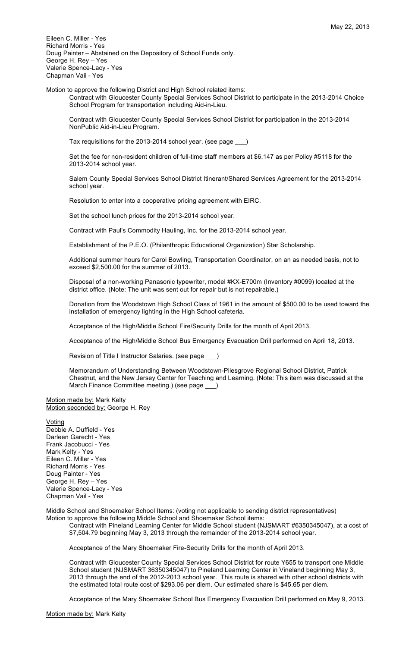Eileen C. Miller - Yes Richard Morris - Yes Doug Painter – Abstained on the Depository of School Funds only. George H. Rey – Yes Valerie Spence-Lacy - Yes Chapman Vail - Yes

Motion to approve the following District and High School related items: Contract with Gloucester County Special Services School District to participate in the 2013-2014 Choice School Program for transportation including Aid-in-Lieu.

Contract with Gloucester County Special Services School District for participation in the 2013-2014 NonPublic Aid-in-Lieu Program.

Tax requisitions for the 2013-2014 school year. (see page \_\_\_)

Set the fee for non-resident children of full-time staff members at \$6,147 as per Policy #5118 for the 2013-2014 school year.

Salem County Special Services School District Itinerant/Shared Services Agreement for the 2013-2014 school year.

Resolution to enter into a cooperative pricing agreement with EIRC.

Set the school lunch prices for the 2013-2014 school year.

Contract with Paul's Commodity Hauling, Inc. for the 2013-2014 school year.

Establishment of the P.E.O. (Philanthropic Educational Organization) Star Scholarship.

Additional summer hours for Carol Bowling, Transportation Coordinator, on an as needed basis, not to exceed \$2,500.00 for the summer of 2013.

Disposal of a non-working Panasonic typewriter, model #KX-E700m (Inventory #0099) located at the district office. (Note: The unit was sent out for repair but is not repairable.)

Donation from the Woodstown High School Class of 1961 in the amount of \$500.00 to be used toward the installation of emergency lighting in the High School cafeteria.

Acceptance of the High/Middle School Fire/Security Drills for the month of April 2013.

Acceptance of the High/Middle School Bus Emergency Evacuation Drill performed on April 18, 2013.

Revision of Title I Instructor Salaries. (see page \_\_\_)

Memorandum of Understanding Between Woodstown-Pilesgrove Regional School District, Patrick Chestnut, and the New Jersey Center for Teaching and Learning. (Note: This item was discussed at the March Finance Committee meeting.) (see page \_

Motion made by: Mark Kelty Motion seconded by: George H. Rey

Voting Debbie A. Duffield - Yes Darleen Garecht - Yes Frank Jacobucci - Yes Mark Kelty - Yes Eileen C. Miller - Yes Richard Morris - Yes Doug Painter - Yes George H. Rey – Yes Valerie Spence-Lacy - Yes Chapman Vail - Yes

Middle School and Shoemaker School Items: (voting not applicable to sending district representatives)

Motion to approve the following Middle School and Shoemaker School items: Contract with Pineland Learning Center for Middle School student (NJSMART #6350345047), at a cost of \$7,504.79 beginning May 3, 2013 through the remainder of the 2013-2014 school year.

Acceptance of the Mary Shoemaker Fire-Security Drills for the month of April 2013.

Contract with Gloucester County Special Services School District for route Y655 to transport one Middle School student (NJSMART 36350345047) to Pineland Learning Center in Vineland beginning May 3, 2013 through the end of the 2012-2013 school year. This route is shared with other school districts with the estimated total route cost of \$293.06 per diem. Our estimated share is \$45.65 per diem.

Acceptance of the Mary Shoemaker School Bus Emergency Evacuation Drill performed on May 9, 2013.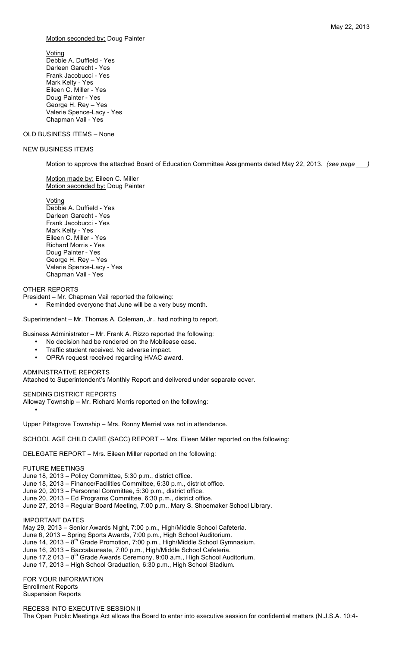Motion seconded by: Doug Painter

Voting Debbie A. Duffield - Yes Darleen Garecht - Yes Frank Jacobucci - Yes Mark Kelty - Yes Eileen C. Miller - Yes Doug Painter - Yes George H. Rey – Yes Valerie Spence-Lacy - Yes Chapman Vail - Yes

## OLD BUSINESS ITEMS – None

### NEW BUSINESS ITEMS

Motion to approve the attached Board of Education Committee Assignments dated May 22, 2013. *(see page \_\_\_)*

Motion made by: Eileen C. Miller Motion seconded by: Doug Painter

Voting

Debbie A. Duffield - Yes Darleen Garecht - Yes Frank Jacobucci - Yes Mark Kelty - Yes Eileen C. Miller - Yes Richard Morris - Yes Doug Painter - Yes George H. Rey – Yes Valerie Spence-Lacy - Yes Chapman Vail - Yes

## OTHER REPORTS

President – Mr. Chapman Vail reported the following:

• Reminded everyone that June will be a very busy month.

Superintendent – Mr. Thomas A. Coleman, Jr., had nothing to report.

Business Administrator – Mr. Frank A. Rizzo reported the following:

- No decision had be rendered on the Mobilease case.
- Traffic student received. No adverse impact.
- OPRA request received regarding HVAC award.

## ADMINISTRATIVE REPORTS

Attached to Superintendent's Monthly Report and delivered under separate cover.

SENDING DISTRICT REPORTS

Alloway Township – Mr. Richard Morris reported on the following:

Upper Pittsgrove Township – Mrs. Ronny Merriel was not in attendance.

SCHOOL AGE CHILD CARE (SACC) REPORT -- Mrs. Eileen Miller reported on the following:

DELEGATE REPORT – Mrs. Eileen Miller reported on the following:

## FUTURE MEETINGS

•

June 18, 2013 – Policy Committee, 5:30 p.m., district office.

June 18, 2013 – Finance/Facilities Committee, 6:30 p.m., district office.

June 20, 2013 – Personnel Committee, 5:30 p.m., district office.

- June 20, 2013 Ed Programs Committee, 6:30 p.m., district office.
- June 27, 2013 Regular Board Meeting, 7:00 p.m., Mary S. Shoemaker School Library.

IMPORTANT DATES

May 29, 2013 – Senior Awards Night, 7:00 p.m., High/Middle School Cafeteria.

June 6, 2013 – Spring Sports Awards, 7:00 p.m., High School Auditorium.

- June 14, 2013  $8^{th}$  Grade Promotion, 7:00 p.m., High/Middle School Gymnasium.
- June 16, 2013 Baccalaureate, 7:00 p.m., High/Middle School Cafeteria.
- June  $17,2013 8$ <sup>th</sup> Grade Awards Ceremony, 9:00 a.m., High School Auditorium.
- June 17, 2013 High School Graduation, 6:30 p.m., High School Stadium.

FOR YOUR INFORMATION Enrollment Reports Suspension Reports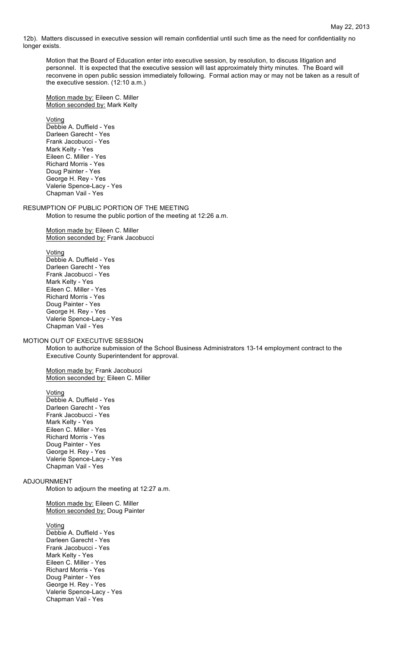12b). Matters discussed in executive session will remain confidential until such time as the need for confidentiality no longer exists.

Motion that the Board of Education enter into executive session, by resolution, to discuss litigation and personnel. It is expected that the executive session will last approximately thirty minutes. The Board will reconvene in open public session immediately following. Formal action may or may not be taken as a result of the executive session. (12:10 a.m.)

Motion made by: Eileen C. Miller Motion seconded by: Mark Kelty

Voting

Debbie A. Duffield - Yes Darleen Garecht - Yes Frank Jacobucci - Yes Mark Kelty - Yes Eileen C. Miller - Yes Richard Morris - Yes Doug Painter - Yes George H. Rey - Yes Valerie Spence-Lacy - Yes Chapman Vail - Yes

RESUMPTION OF PUBLIC PORTION OF THE MEETING Motion to resume the public portion of the meeting at 12:26 a.m.

> Motion made by: Eileen C. Miller Motion seconded by: Frank Jacobucci

Voting

Debbie A. Duffield - Yes Darleen Garecht - Yes Frank Jacobucci - Yes Mark Kelty - Yes Eileen C. Miller - Yes Richard Morris - Yes Doug Painter - Yes George H. Rey - Yes Valerie Spence-Lacy - Yes Chapman Vail - Yes

MOTION OUT OF EXECUTIVE SESSION

Motion to authorize submission of the School Business Administrators 13-14 employment contract to the Executive County Superintendent for approval.

Motion made by: Frank Jacobucci Motion seconded by: Eileen C. Miller

Voting Debbie A. Duffield - Yes Darleen Garecht - Yes Frank Jacobucci - Yes Mark Kelty - Yes Eileen C. Miller - Yes Richard Morris - Yes Doug Painter - Yes George H. Rey - Yes Valerie Spence-Lacy - Yes Chapman Vail - Yes

## ADJOURNMENT

Motion to adjourn the meeting at 12:27 a.m.

Motion made by: Eileen C. Miller Motion seconded by: Doug Painter

Voting

Debbie A. Duffield - Yes Darleen Garecht - Yes Frank Jacobucci - Yes Mark Kelty - Yes Eileen C. Miller - Yes Richard Morris - Yes Doug Painter - Yes George H. Rey - Yes Valerie Spence-Lacy - Yes Chapman Vail - Yes